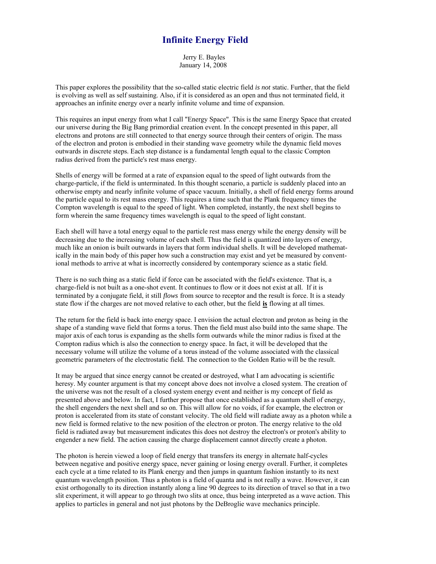## **Infinite Energy Field**

 Jerry E. Bayles January 14, 2008

This paper explores the possibility that the so-called static electric field *is not* static. Further, that the field is evolving as well as self sustaining. Also, if it is considered as an open and thus not terminated field, it approaches an infinite energy over a nearly infinite volume and time of expansion.

This requires an input energy from what I call "Energy Space". This is the same Energy Space that created our universe during the Big Bang primordial creation event. In the concept presented in this paper, all electrons and protons are still connected to that energy source through their centers of origin. The mass of the electron and proton is embodied in their standing wave geometry while the dynamic field moves outwards in discrete steps. Each step distance is a fundamental length equal to the classic Compton radius derived from the particle's rest mass energy.

Shells of energy will be formed at a rate of expansion equal to the speed of light outwards from the charge-particle, if the field is unterminated. In this thought scenario, a particle is suddenly placed into an otherwise empty and nearly infinite volume of space vacuum. Initially, a shell of field energy forms around the particle equal to its rest mass energy. This requires a time such that the Plank frequency times the Compton wavelength is equal to the speed of light. When completed, instantly, the next shell begins to form wherein the same frequency times wavelength is equal to the speed of light constant.

Each shell will have a total energy equal to the particle rest mass energy while the energy density will be decreasing due to the increasing volume of each shell. Thus the field is quantized into layers of energy, much like an onion is built outwards in layers that form individual shells. It will be developed mathematically in the main body of this paper how such a construction may exist and yet be measured by conventional methods to arrive at what is incorrectly considered by contemporary science as a static field.

There is no such thing as a static field if force can be associated with the field's existence. That is, a charge-field is not built as a one-shot event. It continues to flow or it does not exist at all. If it is terminated by a conjugate field, it still *flows* from source to receptor and the result is force. It is a steady state flow if the charges are not moved relative to each other, but the field **is** flowing at all times.

The return for the field is back into energy space. I envision the actual electron and proton as being in the shape of a standing wave field that forms a torus. Then the field must also build into the same shape. The major axis of each torus is expanding as the shells form outwards while the minor radius is fixed at the Compton radius which is also the connection to energy space. In fact, it will be developed that the necessary volume will utilize the volume of a torus instead of the volume associated with the classical geometric parameters of the electrostatic field. The connection to the Golden Ratio will be the result.

It may be argued that since energy cannot be created or destroyed, what I am advocating is scientific heresy. My counter argument is that my concept above does not involve a closed system. The creation of the universe was not the result of a closed system energy event and neither is my concept of field as presented above and below. In fact, I further propose that once established as a quantum shell of energy, the shell engenders the next shell and so on. This will allow for no voids, if for example, the electron or proton is accelerated from its state of constant velocity. The old field will radiate away as a photon while a new field is formed relative to the new position of the electron or proton. The energy relative to the old field is radiated away but measurement indicates this does not destroy the electron's or proton's ability to engender a new field. The action causing the charge displacement cannot directly create a photon.

The photon is herein viewed a loop of field energy that transfers its energy in alternate half-cycles between negative and positive energy space, never gaining or losing energy overall. Further, it completes each cycle at a time related to its Plank energy and then jumps in quantum fashion instantly to its next quantum wavelength position. Thus a photon is a field of quanta and is not really a wave. However, it can exist orthogonally to its direction instantly along a line 90 degrees to its direction of travel so that in a two slit experiment, it will appear to go through two slits at once, thus being interpreted as a wave action. This applies to particles in general and not just photons by the DeBroglie wave mechanics principle.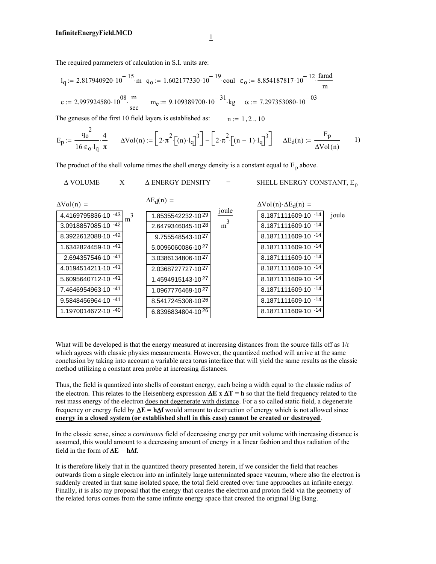The required parameters of calculation in S.I. units are:

$$
l_q := 2.817940920 \cdot 10^{-15} \cdot m \quad q_0 := 1.602177330 \cdot 10^{-19} \cdot \text{coul} \quad \varepsilon_0 := 8.854187817 \cdot 10^{-12} \cdot \frac{\text{farad}}{m}
$$

$$
c := 2.997924580 \cdot 10^{08} \cdot \frac{m}{\text{sec}} \qquad m_e := 9.109389700 \cdot 10^{-31} \cdot \text{kg} \qquad \alpha := 7.297353080 \cdot 10^{-03}
$$

The geneses of the first 10 field layers is established as:  $n := 1, 2... 10$ 

$$
E_p \coloneqq \frac{q_o^2}{16 \cdot \epsilon_o \cdot l_q} \cdot \frac{4}{\pi} \qquad \Delta Vol(n) \coloneqq \left[ 2 \cdot \pi^2 \cdot \left[ (n) \cdot l_q \right]^3 \right] - \left[ 2 \cdot \pi^2 \cdot \left[ (n-1) \cdot l_q \right]^3 \right] \qquad \Delta E_d(n) \coloneqq \frac{E_p}{\Delta Vol(n)} \qquad \text{(1)}
$$

The product of the shell volume times the shell energy density is a constant equal to  $E_p$  above.

| <b>A VOLUME</b>          | $\mathbf{X}$   | A ENERGY DENSITY  | $=$   | SHELL ENERGY CONSTANT, E <sub>n</sub>        |       |
|--------------------------|----------------|-------------------|-------|----------------------------------------------|-------|
| $\Delta \text{Vol}(n) =$ |                | $\Delta E_d(n)$ = |       | $\Delta \text{Vol}(n) \cdot \Delta E_d(n) =$ |       |
| 4.4169795836-10 -43      | m <sup>3</sup> | 1.8535542232.1029 | joule | 8.1871111609-10 -14                          | joule |
| 3.0918857085-10 -42      |                | 2.6479346045-1028 | $m^3$ | 8.1871111609-10 -14                          |       |
| 8.3922612088-10 -42      |                | 9.755548543-1027  |       | 8.1871111609-10 -14                          |       |
| 1.6342824459-10 -41      |                | 5.0096060086-1027 |       | 8.1871111609-10 -14                          |       |
| 2.694357546-10 -41       |                | 3.0386134806-1027 |       | 8.1871111609-10 -14                          |       |
| 4.0194514211-10 -41      |                | 2.0368727727-1027 |       | 8.1871111609-10 -14                          |       |
| 5.6095640712-10 -41      |                | 1.4594915143-1027 |       | 8.1871111609-10 -14                          |       |
| 7.4646954963-10 -41      |                | 1.0967776469-1027 |       | 8.1871111609-10 -14                          |       |
| 9.5848456964-10 -41      |                | 8.5417245308-1026 |       | 8.1871111609-10 -14                          |       |
| 1.1970014672-10 -40      |                | 6.8396834804-1026 |       | 8.1871111609-10 -14                          |       |
|                          |                |                   |       |                                              |       |

What will be developed is that the energy measured at increasing distances from the source falls off as  $1/r$ which agrees with classic physics measurements. However, the quantized method will arrive at the same conclusion by taking into account a variable area torus interface that will yield the same results as the classic method utilizing a constant area probe at increasing distances.

Thus, the field is quantized into shells of constant energy, each being a width equal to the classic radius of the electron. This relates to the Heisenberg expression ∆**E x** ∆**T = h** so that the field frequency related to the rest mass energy of the electron does not degenerate with distance. For a so called static field, a degenerate frequency or energy field by ∆**E = h**∆**f** would amount to destruction of energy which is not allowed since **energy in a closed system (or established shell in this case) cannot be created or destroyed**.

In the classic sense, since a *continuous* field of decreasing energy per unit volume with increasing distance is assumed, this would amount to a decreasing amount of energy in a linear fashion and thus radiation of the field in the form of  $\Delta E = h \Delta f$ .

It is therefore likely that in the quantized theory presented herein, if we consider the field that reaches outwards from a single electron into an infinitely large unterminated space vacuum, where also the electron is suddenly created in that same isolated space, the total field created over time approaches an infinite energy. Finally, it is also my proposal that the energy that creates the electron and proton field via the geometry of the related torus comes from the same infinite energy space that created the original Big Bang.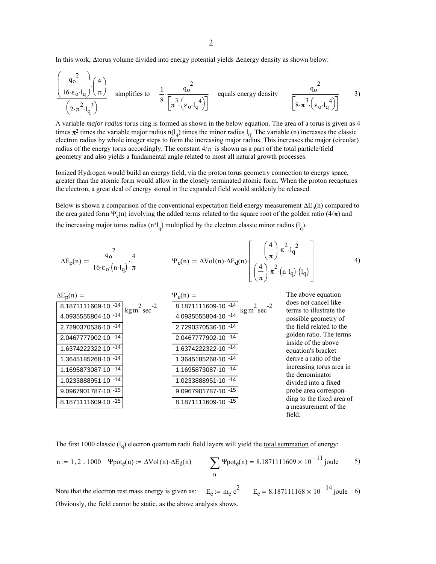In this work, ∆torus volume divided into energy potential yields ∆energy density as shown below:

$$
\frac{\left(\frac{q_0^2}{16 \cdot \epsilon_0 \cdot l_q}\right)\left(\frac{4}{\pi}\right)}{\left(2 \cdot \pi^2 \cdot l_q^3\right)}
$$
 simplifies to  $\frac{1}{8} \cdot \frac{q_0^2}{\left[\pi^3 \cdot \left(\epsilon_0 \cdot l_q^4\right)\right]}$  equals energy density  $\frac{q_0^2}{\left[8 \cdot \pi^3 \cdot \left(\epsilon_0 \cdot l_q^4\right)\right]}$  3)

A variable *major radius* torus ring is formed as shown in the below equation. The area of a torus is given as 4 times  $\pi^2$  times the variable major radius n(l<sub>q</sub>) times the minor radius l<sub>q</sub>. The variable (n) increases the classic electron radius by whole integer steps to form the increasing major radius. This increases the major (circular) radius of the energy torus accordingly. The constant  $4/\pi$  is shown as a part of the total particle/field geometry and also yields a fundamental angle related to most all natural growth processes.

Ionized Hydrogen would build an energy field, via the proton torus geometry connection to energy space, greater than the atomic form would allow in the closely terminated atomic form. When the proton recaptures the electron, a great deal of energy stored in the expanded field would suddenly be released.

Below is shown a comparison of the conventional expectation field energy measurement  $\Delta E_p(n)$  compared to the area gated form  $\Psi_e(n)$  involving the added terms related to the square root of the golden ratio (4/ $\pi$ ) and the increasing major torus radius  $(n'l_q)$  multiplied by the electron classic minor radius  $(l_q)$ .

$$
\Delta E_p(n) := \frac{q_o^2}{16 \cdot \epsilon_o \cdot (n \cdot l_q)} \cdot \frac{4}{\pi} \qquad \Psi_e(n) := \Delta Vol(n) \cdot \Delta E_d(n) \cdot \left[ \frac{\left(\frac{4}{\pi}\right) \cdot \pi^2 \cdot l_q^2}{\left(\frac{4}{\pi}\right) \cdot \pi^2 \cdot (n \cdot l_q) \cdot (l_q)} \right] \tag{4}
$$

| $\Delta E_p(n) =$                       | $\Psi_e(n) =$                            | The above equation                                |
|-----------------------------------------|------------------------------------------|---------------------------------------------------|
| 8.1871111609-10 -14<br>$-2$<br>kg m sec | 8.1871111609-10 -14<br>$\text{kg m}$ sec | does not cancel like<br>terms to illustrate the   |
| 4.0935555804-10 -14                     | 4.0935555804-10 -14                      | possible geometry of                              |
| 2.7290370536-10 -14                     | 2.7290370536-10 -14                      | the field related to the                          |
| 2.0467777902-10 -14                     | 2.0467777902-10 -14                      | golden ratio. The terms<br>inside of the above    |
| 1.6374222322-10 -14                     | 1.6374222322-10 - 14                     | equation's bracket                                |
| 1.3645185268-10 -14                     | 1.3645185268-10 -14                      | derive a ratio of the                             |
| 1.1695873087-10 -14                     | 1.1695873087-10 -14                      | increasing torus area in<br>the denominator       |
| 1.0233888951-10 -14                     | 1.0233888951-10 -14                      | divided into a fixed                              |
| 9.0967901787-10 -15                     | 9.0967901787-10 -15                      | probe area correspon-                             |
| 8.1871111609-10 -15                     | 8.1871111609-10 -15                      | ding to the fixed area of<br>a measurement of the |
|                                         |                                          | field.                                            |

The first 1000 classic  $(l_q)$  electron quantum radii field layers will yield the total summation of energy:

n := 1,2..1000 
$$
\Psi \text{pot}_{e}(n) := \Delta \text{Vol}(n) \cdot \Delta E_{d}(n)
$$
  
\n
$$
\sum_{n} \Psi \text{pot}_{e}(n) = 8.1871111609 \times 10^{-11} \text{ joule}
$$
 5)

Obviously, the field cannot be static, as the above analysis shows.  $E_e := m_e c^2$   $E_e = 8.187111168 \times 10^{-14}$  joule 6) Note that the electron rest mass energy is given as: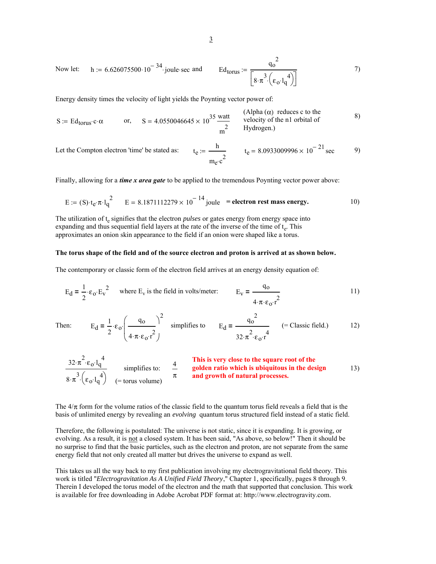Now let: 
$$
h := 6.626075500 \cdot 10^{-34}
$$
 joule-sec and  $Ed_{torus} := \frac{q_0^2}{\left[8 \cdot \pi^3 \left(\epsilon_0 \cdot l_q^4\right)\right]}$  (7)

Energy density times the velocity of light yields the Poynting vector power of:

$$
S := Ed_{torus} \cdot c \cdot \alpha
$$
 or, 
$$
S = 4.0550046645 \times 10^{35} \frac{\text{watt}}{\text{m}^2}
$$
 (Alpha ( $\alpha$ ) reduces c to the velocity of the n1 orbital of Hydrogen.)

Let the Compton electron 'time' be stated as:

$$
t_e := \frac{h}{m_e c^2}
$$
  $t_e = 8.0933009996 \times 10^{-21} \text{ sec}$  9)

Finally, allowing for a *time x area gate* to be applied to the tremendous Poynting vector power above:

$$
E := (S) \cdot t_e \cdot \pi \cdot l_q^2
$$
  $E = 8.1871112279 \times 10^{-14}$  joule = electron rest mass energy. 10)

The utilization of t<sub>e</sub> signifies that the electron *pulses* or gates energy from energy space into expanding and thus sequential field layers at the rate of the inverse of the time of  $t_e$ . This approximates an onion skin appearance to the field if an onion were shaped like a torus.

## **The torus shape of the field and of the source electron and proton is arrived at as shown below.**

The contemporary or classic form of the electron field arrives at an energy density equation of:

$$
E_d = \frac{1}{2} \cdot \varepsilon_o \cdot E_v^2
$$
 where  $E_v$  is the field in volts/meter:  $E_v = \frac{q_o}{4 \cdot \pi \cdot \varepsilon_o \cdot r^2}$  [1]

The:

en: 
$$
E_d = \frac{1}{2} \cdot \epsilon_0 \cdot \left(\frac{q_0}{4 \cdot \pi \cdot \epsilon_0 \cdot r^2}\right)^2
$$
 simplifies to  $E_d = \frac{q_0^2}{32 \cdot \pi^2 \cdot \epsilon_0 \cdot r^4}$  (= Classic field.)

$$
\frac{32 \cdot \pi^2 \cdot \epsilon_0 \cdot l_q^4}{8 \cdot \pi^3 \cdot (\epsilon_0 \cdot l_q^4)} \qquad \text{simplifies to:} \qquad \frac{4}{\pi} \qquad \text{This is very close to the square root of thegolden ratio which is ubiquitous in the designand growth of natural processes.} \qquad \qquad (13)
$$

The  $4/\pi$  form for the volume ratios of the classic field to the quantum torus field reveals a field that is the basis of unlimited energy by revealing an *evolving* quantum torus structured field instead of a static field.

Therefore, the following is postulated: The universe is not static, since it is expanding. It is growing, or evolving. As a result, it is not a closed system. It has been said, "As above, so below!" Then it should be no surprise to find that the basic particles, such as the electron and proton, are not separate from the same energy field that not only created all matter but drives the universe to expand as well.

This takes us all the way back to my first publication involving my electrogravitational field theory. This work is titled "*Electrogravitation As A Unified Field Theory*," Chapter 1, specifically, pages 8 through 9. Therein I developed the torus model of the electron and the math that supported that conclusion. This work is available for free downloading in Adobe Acrobat PDF format at: http://www.electrogravity.com.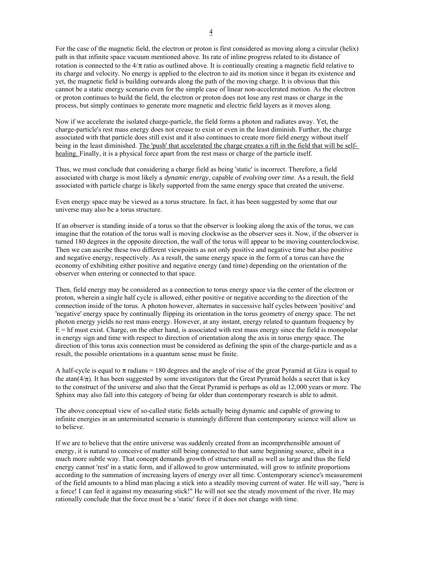For the case of the magnetic field, the electron or proton is first considered as moving along a circular (helix) path in that infinite space vacuum mentioned above. Its rate of inline progress related to its distance of rotation is connected to the  $4/\pi$  ratio as outlined above. It is continually creating a magnetic field relative to its charge and velocity. No energy is applied to the electron to aid its motion since it began its existence and yet, the magnetic field is building outwards along the path of the moving charge. It is obvious that this cannot be a static energy scenario even for the simple case of linear non-accelerated motion. As the electron or proton continues to build the field, the electron or proton does not lose any rest mass or charge in the process, but simply continues to generate more magnetic and electric field layers as it moves along.

Now if we accelerate the isolated charge-particle, the field forms a photon and radiates away. Yet, the charge-particle's rest mass energy does not crease to exist or even in the least diminish. Further, the charge associated with that particle does still exist and it also continues to create more field energy without itself being in the least diminished. The 'push' that accelerated the charge creates a rift in the field that will be selfhealing. Finally, it is a physical force apart from the rest mass or charge of the particle itself.

Thus, we must conclude that considering a charge field as being 'static' is incorrect. Therefore, a field associated with charge is most likely a *dynamic energy*, capable of *evolving over time*. As a result, the field associated with particle charge is likely supported from the same energy space that created the universe.

Even energy space may be viewed as a torus structure. In fact, it has been suggested by some that our universe may also be a torus structure.

If an observer is standing inside of a torus so that the observer is looking along the axis of the torus, we can imagine that the rotation of the torus wall is moving clockwise as the observer sees it. Now, if the observer is turned 180 degrees in the opposite direction, the wall of the torus will appear to be moving counterclockwise. Then we can ascribe these two different viewpoints as not only positive and negative time but also positive and negative energy, respectively. As a result, the same energy space in the form of a torus can have the economy of exhibiting either positive and negative energy (and time) depending on the orientation of the observer when entering or connected to that space.

Then, field energy may be considered as a connection to torus energy space via the center of the electron or proton, wherein a single half cycle is allowed, either positive or negative according to the direction of the connection inside of the torus. A photon however, alternates in successive half cycles between 'positive' and 'negative' energy space by continually flipping its orientation in the torus geometry of energy space. The net photon energy yields no rest mass energy. However, at any instant, energy related to quantum frequency by  $E = hf$  must exist. Charge, on the other hand, is associated with rest mass energy since the field is monopolar in energy sign and time with respect to direction of orientation along the axis in torus energy space. The direction of this torus axis connection must be considered as defining the spin of the charge-particle and as a result, the possible orientations in a quantum sense must be finite.

A half-cycle is equal to  $\pi$  radians = 180 degrees and the angle of rise of the great Pyramid at Giza is equal to the atan( $4/\pi$ ). It has been suggested by some investigators that the Great Pyramid holds a secret that is key to the construct of the universe and also that the Great Pyramid is perhaps as old as 12,000 years or more. The Sphinx may also fall into this category of being far older than contemporary research is able to admit.

The above conceptual view of so-called static fields actually being dynamic and capable of growing to infinite energies in an unterminated scenario is stunningly different than contemporary science will allow us to believe.

If we are to believe that the entire universe was suddenly created from an incomprehensible amount of energy, it is natural to conceive of matter still being connected to that same beginning source, albeit in a much more subtle way. That concept demands growth of structure small as well as large and thus the field energy cannot 'rest' in a static form, and if allowed to grow unterminated, will grow to infinite proportions according to the summation of increasing layers of energy over all time. Contemporary science's measurement of the field amounts to a blind man placing a stick into a steadily moving current of water. He will say, "here is a force! I can feel it against my measuring stick!" He will not see the steady movement of the river. He may rationally conclude that the force must be a 'static' force if it does not change with time.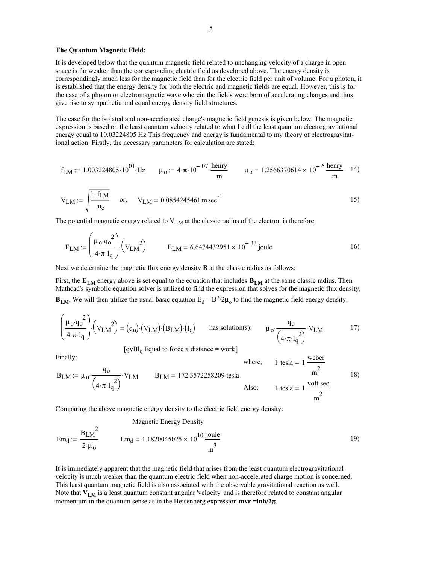## **The Quantum Magnetic Field:**

It is developed below that the quantum magnetic field related to unchanging velocity of a charge in open space is far weaker than the corresponding electric field as developed above. The energy density is correspondingly much less for the magnetic field than for the electric field per unit of volume. For a photon, it is established that the energy density for both the electric and magnetic fields are equal. However, this is for the case of a photon or electromagnetic wave wherein the fields were born of accelerating charges and thus give rise to sympathetic and equal energy density field structures.

The case for the isolated and non-accelerated charge's magnetic field genesis is given below. The magnetic expression is based on the least quantum velocity related to what I call the least quantum electrogravitational energy equal to 10.03224805 Hz This frequency and energy is fundamental to my theory of electrogravitational action Firstly, the necessary parameters for calculation are stated:

$$
f_{LM} := 1.003224805 \cdot 10^{01} \cdot Hz \qquad \mu_0 := 4 \cdot \pi \cdot 10^{-07} \cdot \frac{henry}{m} \qquad \mu_0 = 1.2566370614 \times 10^{-6} \frac{henry}{m} \qquad 14)
$$

$$
V_{LM} := \sqrt{\frac{h \cdot f_{LM}}{m_e}} \quad \text{or,} \quad V_{LM} = 0.0854245461 \, \text{m} \, \text{sec}^{-1} \tag{15}
$$

The potential magnetic energy related to  $V_{LM}$  at the classic radius of the electron is therefore:

$$
E_{LM} := \left(\frac{\mu_0 \cdot q_0^2}{4 \cdot \pi \cdot l_q}\right) \cdot \left(V_{LM}\right)^2 \qquad E_{LM} = 6.6474432951 \times 10^{-33} \text{ joule}
$$

Next we determine the magnetic flux energy density **B** at the classic radius as follows:

First, the  $E_{LM}$  energy above is set equal to the equation that includes  $B_{LM}$  at the same classic radius. Then Mathcad's symbolic equation solver is utilized to find the expression that solves for the magnetic flux density, **B<sub>LM</sub>**. We will then utilize the usual basic equation  $E_d = B^2/2\mu_0$  to find the magnetic field energy density.

$$
\left(\frac{\mu_0 \cdot q_0^2}{4 \cdot \pi \cdot l_q}\right) \cdot \left(V_{LM}\right)^2 = (q_0) \cdot \left(V_{LM}\right) \cdot \left(B_{LM}\right) \cdot \left(l_q\right) \quad \text{has solution(s):} \quad \mu_0 \cdot \frac{q_0}{\left(4 \cdot \pi \cdot l_q^2\right)} \cdot V_{LM} \tag{17}
$$
\n
$$
[qvBl_q \text{ Equal to force x distance} = \text{work}]
$$

 $\mathcal{L}$ 

Finally:  
\n
$$
B_{LM} := \mu_0 \cdot \frac{q_0}{\left(4 \cdot \pi \cdot l_q^2\right)} \cdot V_{LM}
$$
\n
$$
B_{LM} = 172.3572258209 \text{ tesla}
$$
\n
$$
B_{L} = 172.3572258209 \text{ tesla}
$$
\n
$$
A \text{lso:} \qquad 1 \cdot \text{tesla} = 1 \frac{\text{volt} \cdot \text{sec}}{m^2}
$$
\n
$$
18)
$$

Comparing the above magnetic energy density to the electric field energy density:

Magnetic Energy Density

$$
Em_d := \frac{B_{LM}^2}{2 \cdot \mu_0}
$$
  $Em_d = 1.1820045025 \times 10^{10} \frac{\text{joule}}{m^3}$  (19)

It is immediately apparent that the magnetic field that arises from the least quantum electrogravitational velocity is much weaker than the quantum electric field when non-accelerated charge motion is concerned. This least quantum magnetic field is also associated with the observable gravitational reaction as well. Note that **V<sub>LM</sub>** is a least quantum constant angular 'velocity' and is therefore related to constant angular momentum in the quantum sense as in the Heisenberg expression **mvr =inh/2**π.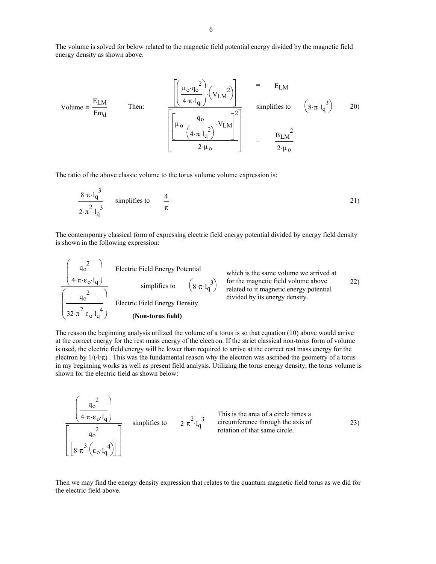The volume is solved for below related to the magnetic field potential energy divided by the magnetic field energy density as shown above.

Volume = 
$$
\frac{E_{LM}}{Em_d}
$$
  
\nThen:  
\n
$$
\frac{\left[\left(\frac{\mu_0 \cdot q_0^2}{4 \cdot \pi \cdot l_q}\right) \cdot \left(V_{LM}^2\right)\right]}{\left[\left(\frac{\mu_0 \cdot q_0}{4 \cdot \pi \cdot l_q^2}\right) \cdot V_{LM}\right]^2\right]} = \frac{E_{LM}}{\sin \phi
$$
\nsimplifies to\n
$$
\left(8 \cdot \pi \cdot l_q^3\right) = 20
$$
\n
$$
= \frac{B_{LM}^2}{2 \cdot \mu_0}
$$

The ratio of the above classic volume to the torus volume volume expression is:

 $\overline{ }$ 

$$
\frac{8 \cdot \pi \cdot l_q^3}{2 \cdot \pi^2 \cdot l_q^3}
$$
 simplifies to  $\frac{4}{\pi}$  (21)

The contemporary classical form of expressing electric field energy potential divided by energy field density is shown in the following expression:

| $q_0^2$ | Electric Field Energy Potential<br>4· $\pi \cdot \epsilon_0 \cdot l_q$ | which is the same volume we arrived at<br>simplifies to<br>22) |       |       |       |       |       |       |       |       |       |       |       |       |       |       |       |       |       |       |       |       |       |       |       |       |       |       |       |       |       |       |       |       |       |       |       |       |       |       |       |       |       |       |       |       |       |       |       |       |       |       |       |       |       |       |       |       |       |       |       |       |       |       |       |       |       |       |       |       |       |       |       |       |       |       |       |       |       |       |       |       |       |       |       |       |       |       |       |       |            |
|---------|------------------------------------------------------------------------|----------------------------------------------------------------|-------|-------|-------|-------|-------|-------|-------|-------|-------|-------|-------|-------|-------|-------|-------|-------|-------|-------|-------|-------|-------|-------|-------|-------|-------|-------|-------|-------|-------|-------|-------|-------|-------|-------|-------|-------|-------|-------|-------|-------|-------|-------|-------|-------|-------|-------|-------|-------|-------|-------|-------|-------|-------|-------|-------|-------|-------|-------|-------|-------|-------|-------|-------|-------|-------|-------|-------|-------|-------|-------|-------|-------|-------|-------|-------|-------|-------|-------|-------|-------|-------|-------|-------|-------|-------|-------|-------|-------|------------|
| $q_0^2$ | Supplifies to<br>32· $\pi^2 \cdot \epsilon_0 \cdot l_q^4$              | Electric Field Energy Density                                  | first | first | first | first | first | first | first | first | first | first | first | first | first | first | first | first | first | first | first | first | first | first | first | first | first | first | first | first | first | first | first | first | first | first | first | first | first | first | first | first | first | first | first | first | first | first | first | first | first | first | first | first | first | first | first | first | first | first | first | first | first | first | first | first | first | first | first | first | first | first | first | first | first | first | first | first | first | first | first | first | first | first | first | first | first | first | first | first | first </td |

The reason the beginning analysis utilized the volume of a torus is so that equation (10) above would arrive at the correct energy for the rest mass energy of the electron. If the strict classical non-torus form of volume is used, the electric field energy will be lower than required to arrive at the correct rest mass energy for the electron by  $1/(4/\pi)$ . This was the fundamental reason why the electron was ascribed the geometry of a torus in my beginning works as well as present field analysis. Utilizing the torus energy density, the torus volume is shown for the electric field as shown below:

$$
\frac{\left(\frac{q_0^2}{4 \cdot \pi \cdot \varepsilon_0 \cdot l_q}\right)}{\left[\frac{q_0^2}{8 \cdot \pi^3 \cdot \left(\varepsilon_0 \cdot l_q^4\right)}\right]}
$$
 simplifies to  $2 \cdot \pi^2 \cdot l_q^3$  This is the area of a circle times a circumference through the axis of rotation of that same circle.

Then we may find the energy density expression that relates to the quantum magnetic field torus as we did for the electric field above.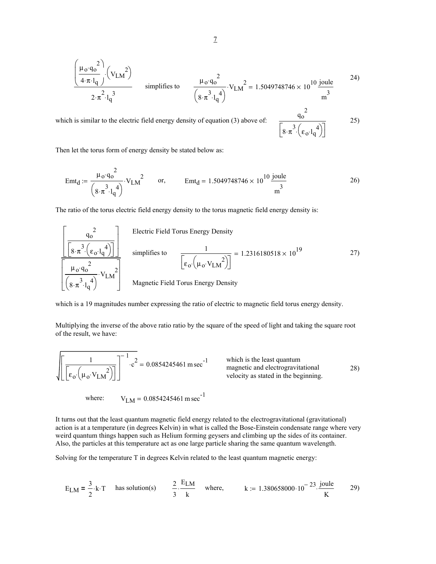$$
\frac{\left(\frac{\mu_0 \cdot q_0^2}{4 \cdot \pi \cdot l_q}\right) \cdot \left(V_{LM}\right)}{2 \cdot \pi^2 \cdot l_q^3}
$$
 simplifies to 
$$
\frac{\mu_0 \cdot q_0^2}{\left(8 \cdot \pi^3 \cdot l_q^4\right)} \cdot V_{LM}^2 = 1.5049748746 \times 10^{10} \frac{\text{joule}}{\text{m}^3}
$$

which is similar to the electric field energy density of equation  $(3)$  above of:

$$
25)
$$

2

 $\left[8\cdot\pi^3\left(\epsilon_0\cdot l_q^4\right)\right]$ 

Then let the torus form of energy density be stated below as:

$$
Emt_d := \frac{\mu_0 \cdot q_0^2}{\left(8 \cdot \pi^3 \cdot l_q^4\right)} \cdot V_{LM}^2 \qquad \text{or,} \qquad Emt_d = 1.5049748746 \times 10^{10} \frac{\text{joule}}{\text{m}^3} \tag{26}
$$

The ratio of the torus electric field energy density to the torus magnetic field energy density is:

$$
\frac{\left[\frac{q_o^2}{\left[8 \cdot \pi^3 \cdot \left(\epsilon_o \cdot l_q^4\right)\right]}\right]}{\left[\frac{\mu_o q_o^2}{\left(8 \cdot \pi^3 \cdot l_q^4\right)}\right]}
$$
 simplifies to  

$$
\frac{1}{\left[\epsilon_o \cdot \left(\mu_o \cdot V_{LM}^2\right)\right]} = 1.2316180518 \times 10^{19}
$$
 27)  

$$
\frac{\mu_o q_o^2}{\left(8 \cdot \pi^3 \cdot l_q^4\right)}
$$
 Magnetic Field Torus Energy Density

which is a 19 magnitudes number expressing the ratio of electric to magnetic field torus energy density.

Multiplying the inverse of the above ratio ratio by the square of the speed of light and taking the square root of the result, we have:

$$
\sqrt{\left[\frac{1}{\left[\epsilon_0 \cdot \left(\mu_0 \cdot V_{LM}\right)^2\right]}\right]^{-1} \cdot c^2} = 0.0854245461 \text{ m sec}^{-1}
$$
 which is the least quantum magnetic and electrogravitational velocity as stated in the beginning.

where:  $V_{LM} = 0.0854245461 \text{ m sec}^{-1}$ 

It turns out that the least quantum magnetic field energy related to the electrogravitational (gravitational) action is at a temperature (in degrees Kelvin) in what is called the Bose-Einstein condensate range where very weird quantum things happen such as Helium forming geysers and climbing up the sides of its container. Also, the particles at this temperature act as one large particle sharing the same quantum wavelength.

Solving for the temperature T in degrees Kelvin related to the least quantum magnetic energy:

$$
E_{LM} = \frac{3}{2} \cdot k \cdot T
$$
 has solution(s)  $\frac{2}{3} \cdot \frac{E_{LM}}{k}$  where,  $k := 1.380658000 \cdot 10^{-23} \cdot \frac{joule}{K}$  29)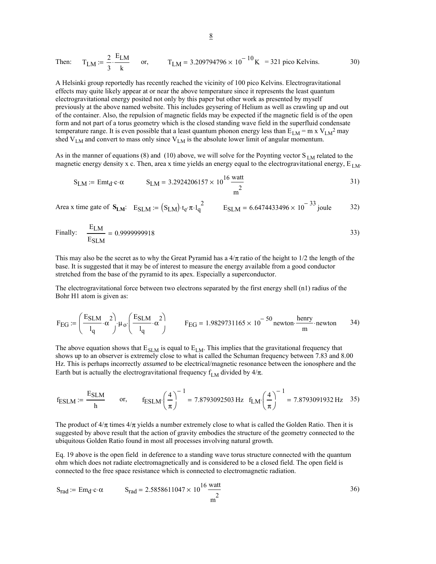Then: 
$$
T_{LM} := \frac{2}{3} \cdot \frac{E_{LM}}{k}
$$
 or,  $T_{LM} = 3.209794796 \times 10^{-10} K = 321 \text{ pico Kelvins.}$  30)

A Helsinki group reportedly has recently reached the vicinity of 100 pico Kelvins. Electrogravitational effects may quite likely appear at or near the above temperature since it represents the least quantum electrogravitational energy posited not only by this paper but other work as presented by myself previously at the above named website. This includes geysering of Helium as well as crawling up and out of the container. Also, the repulsion of magnetic fields may be expected if the magnetic field is of the open form and not part of a torus geometry which is the closed standing wave field in the superfluid condensate temperature range. It is even possible that a least quantum phonon energy less than  $E_{LM} = m x V_{LM}^2$  may shed  $V_{LM}$  and convert to mass only since  $V_{LM}$  is the absolute lower limit of angular momentum.

As in the manner of equations (8) and (10) above, we will solve for the Poynting vector  $S_{LM}$  related to the magnetic energy density x c. Then, area x time yields an energy equal to the electrogravitational energy,  $E_{LM}$ .

$$
S_{LM} := \text{Emt}_{d} \cdot c \cdot \alpha
$$
  $S_{LM} = 3.2924206157 \times 10^{16} \frac{\text{watt}}{\text{m}^2}$  (31)

Area x time gate of  $S_{LM}$ :  $E_{SLM} = (S_{LM}) \cdot t_e \cdot \pi \cdot l_q^2$   $E_{SLM} = 6.6474433496 \times 10^{-33}$  joule 32)

Finally: 
$$
\frac{E_{LM}}{E_{SLM}} = 0.9999999918
$$

This may also be the secret as to why the Great Pyramid has a  $4/\pi$  ratio of the height to  $1/2$  the length of the base. It is suggested that it may be of interest to measure the energy available from a good conductor stretched from the base of the pyramid to its apex. Especially a superconductor.

The electrogravitational force between two electrons separated by the first energy shell (n1) radius of the Bohr H1 atom is given as:

$$
F_{EG} := \left(\frac{E_{SLM}}{l_q} \cdot \alpha^2\right) \cdot \mu_o \cdot \left(\frac{E_{SLM}}{l_q} \cdot \alpha^2\right) \qquad F_{EG} = 1.9829731165 \times 10^{-50} \text{ newton} \cdot \frac{\text{henry}}{\text{m}} \cdot \text{newton} \qquad 34)
$$

The above equation shows that  $E_{SLM}$  is equal to  $E_{LM}$ . This implies that the gravitational frequency that shows up to an observer is extremely close to what is called the Schuman frequency between 7.83 and 8.00 Hz. This is perhaps incorrectly *assumed* to be electrical/magnetic resonance between the ionosphere and the Earth but is actually the electrogravitational frequency  $f_{LM}$  divided by  $4/\pi$ .

$$
f_{\text{ESLM}} := \frac{E_{\text{SLM}}}{h}
$$
 or,  $f_{\text{ESLM}} \left(\frac{4}{\pi}\right)^{-1} = 7.8793092503 \text{ Hz}$   $f_{\text{LM}} \left(\frac{4}{\pi}\right)^{-1} = 7.8793091932 \text{ Hz}$  35)

The product of  $4/\pi$  times  $4/\pi$  yields a number extremely close to what is called the Golden Ratio. Then it is suggested by above result that the action of gravity embodies the structure of the geometry connected to the ubiquitous Golden Ratio found in most all processes involving natural growth.

Eq. 19 above is the open field in deference to a standing wave torus structure connected with the quantum ohm which does not radiate electromagnetically and is considered to be a closed field. The open field is connected to the free space resistance which is connected to electromagnetic radiation.

$$
S_{rad} := Em_d \cdot c \cdot \alpha
$$
  $S_{rad} = 2.5858611047 \times 10^{16} \frac{\text{watt}}{\text{m}^2}$   $36)$